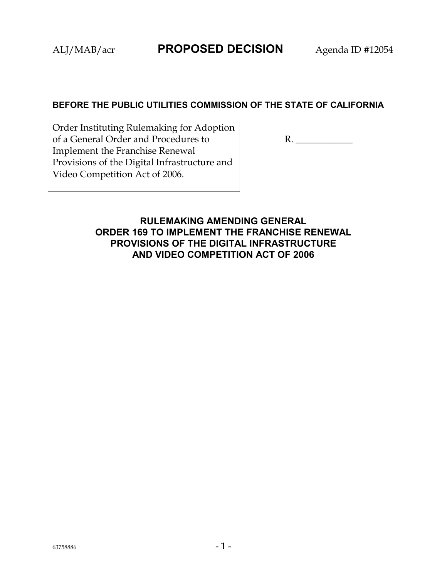#### **BEFORE THE PUBLIC UTILITIES COMMISSION OF THE STATE OF CALIFORNIA**

Order Instituting Rulemaking for Adoption of a General Order and Procedures to Implement the Franchise Renewal Provisions of the Digital Infrastructure and Video Competition Act of 2006.

R. \_\_\_\_\_\_\_\_\_\_\_\_

**RULEMAKING AMENDING GENERAL ORDER 169 TO IMPLEMENT THE FRANCHISE RENEWAL PROVISIONS OF THE DIGITAL INFRASTRUCTURE AND VIDEO COMPETITION ACT OF 2006**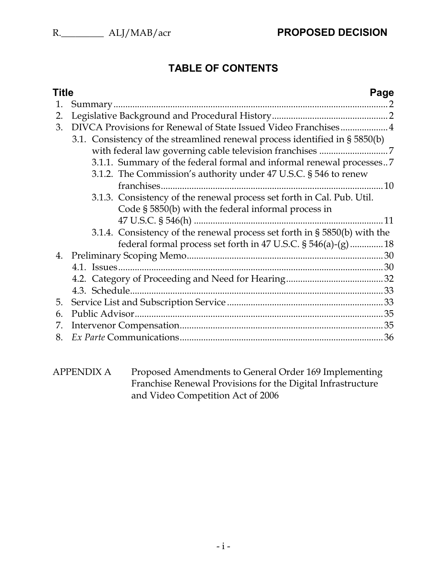# **TABLE OF CONTENTS**

| Title |                                                                                                                                                | Page |
|-------|------------------------------------------------------------------------------------------------------------------------------------------------|------|
| 1.    |                                                                                                                                                |      |
| 2.    |                                                                                                                                                |      |
| 3.    | DIVCA Provisions for Renewal of State Issued Video Franchises 4<br>3.1. Consistency of the streamlined renewal process identified in § 5850(b) |      |
|       |                                                                                                                                                |      |
|       | 3.1.1. Summary of the federal formal and informal renewal processes<br>3.1.2. The Commission's authority under 47 U.S.C. § 546 to renew        |      |
|       |                                                                                                                                                |      |
|       | 3.1.3. Consistency of the renewal process set forth in Cal. Pub. Util.<br>Code § 5850(b) with the federal informal process in                  |      |
|       |                                                                                                                                                |      |
|       | 3.1.4. Consistency of the renewal process set forth in § 5850(b) with the                                                                      |      |
|       | federal formal process set forth in 47 U.S.C. § 546(a)-(g) 18                                                                                  |      |
|       |                                                                                                                                                |      |
|       |                                                                                                                                                |      |
|       |                                                                                                                                                |      |
|       |                                                                                                                                                |      |
| 5.    |                                                                                                                                                |      |
| 6.    |                                                                                                                                                |      |
| 7.    |                                                                                                                                                |      |
| 8.    |                                                                                                                                                |      |

APPENDIX A Proposed Amendments to General Order 169 Implementing Franchise Renewal Provisions for the Digital Infrastructure and Video Competition Act of 2006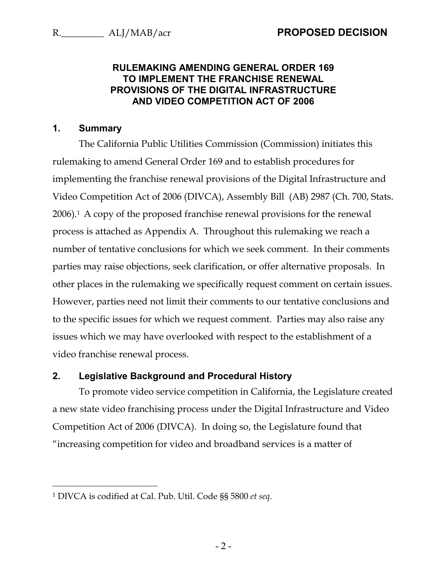#### **RULEMAKING AMENDING GENERAL ORDER 169 TO IMPLEMENT THE FRANCHISE RENEWAL PROVISIONS OF THE DIGITAL INFRASTRUCTURE AND VIDEO COMPETITION ACT OF 2006**

#### <span id="page-2-0"></span>**1. Summary**

 $\overline{a}$ 

The California Public Utilities Commission (Commission) initiates this rulemaking to amend General Order 169 and to establish procedures for implementing the franchise renewal provisions of the Digital Infrastructure and Video Competition Act of 2006 (DIVCA), Assembly Bill (AB) 2987 (Ch. 700, Stats. 2006).<sup>1</sup> A copy of the proposed franchise renewal provisions for the renewal process is attached as Appendix A. Throughout this rulemaking we reach a number of tentative conclusions for which we seek comment. In their comments parties may raise objections, seek clarification, or offer alternative proposals. In other places in the rulemaking we specifically request comment on certain issues. However, parties need not limit their comments to our tentative conclusions and to the specific issues for which we request comment. Parties may also raise any issues which we may have overlooked with respect to the establishment of a video franchise renewal process.

#### <span id="page-2-1"></span>**2. Legislative Background and Procedural History**

To promote video service competition in California, the Legislature created a new state video franchising process under the Digital Infrastructure and Video Competition Act of 2006 (DIVCA). In doing so, the Legislature found that "increasing competition for video and broadband services is a matter of

 $-2-$ 

<sup>1</sup> DIVCA is codified at Cal. Pub. Util. Code §§ 5800 *et seq*.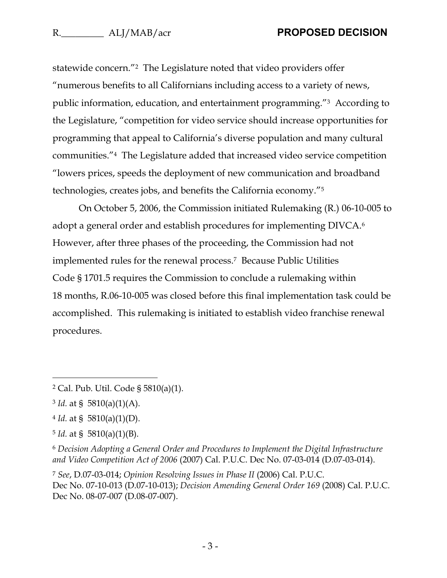statewide concern."2 The Legislature noted that video providers offer "numerous benefits to all Californians including access to a variety of news, public information, education, and entertainment programming."3 According to the Legislature, "competition for video service should increase opportunities for programming that appeal to California's diverse population and many cultural communities."4 The Legislature added that increased video service competition "lowers prices, speeds the deployment of new communication and broadband technologies, creates jobs, and benefits the California economy."<sup>5</sup>

On October 5, 2006, the Commission initiated Rulemaking (R.) 06-10-005 to adopt a general order and establish procedures for implementing DIVCA.<sup>6</sup> However, after three phases of the proceeding, the Commission had not implemented rules for the renewal process.7 Because Public Utilities Code § 1701.5 requires the Commission to conclude a rulemaking within 18 months, R.06-10-005 was closed before this final implementation task could be accomplished. This rulemaking is initiated to establish video franchise renewal procedures.

<sup>2</sup> Cal. Pub. Util. Code § 5810(a)(1).

 $3$  *Id.* at § 5810(a)(1)(A).

 $4$  *Id.* at § 5810(a)(1)(D).

 $5$  *Id.* at § 5810(a)(1)(B).

<sup>6</sup> *Decision Adopting a General Order and Procedures to Implement the Digital Infrastructure and Video Competition Act of 2006* (2007) Cal. P.U.C. Dec No. 07-03-014 (D.07-03-014).

<sup>7</sup> *See*, D.07-03-014; *Opinion Resolving Issues in Phase II* (2006) Cal. P.U.C. Dec No. 07-10-013 (D.07-10-013); *Decision Amending General Order 169* (2008) Cal. P.U.C. Dec No. 08-07-007 (D.08-07-007).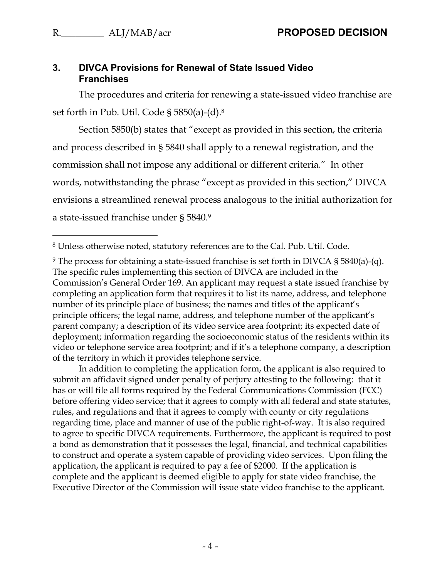<span id="page-4-1"></span> $\overline{a}$ 

#### <span id="page-4-0"></span>**3. DIVCA Provisions for Renewal of State Issued Video Franchises**

The procedures and criteria for renewing a state-issued video franchise are set forth in Pub. Util. Code § 5850(a)-(d).<sup>8</sup>

Section 5850(b) states that "except as provided in this section, the criteria and process described in § 5840 shall apply to a renewal registration, and the commission shall not impose any additional or different criteria." In other words, notwithstanding the phrase "except as provided in this section," DIVCA envisions a streamlined renewal process analogous to the initial authorization for a state-issued franchise under § 5840.<sup>9</sup>

In addition to completing the application form, the applicant is also required to submit an affidavit signed under penalty of perjury attesting to the following: that it has or will file all forms required by the Federal Communications Commission (FCC) before offering video service; that it agrees to comply with all federal and state statutes, rules, and regulations and that it agrees to comply with county or city regulations regarding time, place and manner of use of the public right-of-way. It is also required to agree to specific DIVCA requirements. Furthermore, the applicant is required to post a bond as demonstration that it possesses the legal, financial, and technical capabilities to construct and operate a system capable of providing video services. Upon filing the application, the applicant is required to pay a fee of \$2000. If the application is complete and the applicant is deemed eligible to apply for state video franchise, the Executive Director of the Commission will issue state video franchise to the applicant.

<sup>8</sup> Unless otherwise noted, statutory references are to the Cal. Pub. Util. Code.

<sup>9</sup> The process for obtaining a state-issued franchise is set forth in DIVCA § 5840(a)-(q). The specific rules implementing this section of DIVCA are included in the Commission's General Order 169. An applicant may request a state issued franchise by completing an application form that requires it to list its name, address, and telephone number of its principle place of business; the names and titles of the applicant's principle officers; the legal name, address, and telephone number of the applicant's parent company; a description of its video service area footprint; its expected date of deployment; information regarding the socioeconomic status of the residents within its video or telephone service area footprint; and if it's a telephone company, a description of the territory in which it provides telephone service.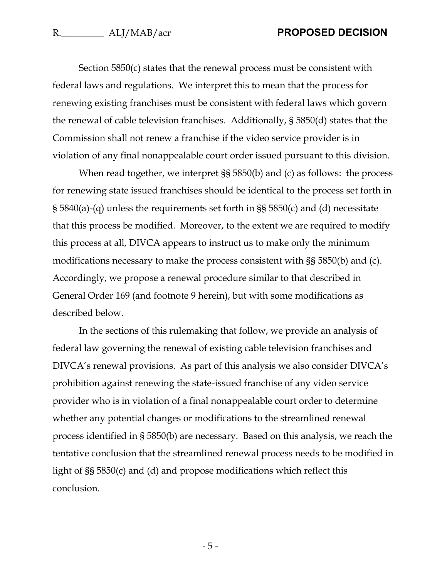Section 5850(c) states that the renewal process must be consistent with federal laws and regulations. We interpret this to mean that the process for renewing existing franchises must be consistent with federal laws which govern the renewal of cable television franchises. Additionally, § 5850(d) states that the Commission shall not renew a franchise if the video service provider is in violation of any final nonappealable court order issued pursuant to this division.

When read together, we interpret  $\S$ § 5850(b) and (c) as follows: the process for renewing state issued franchises should be identical to the process set forth in § 5840(a)-(q) unless the requirements set forth in §§ 5850(c) and (d) necessitate that this process be modified. Moreover, to the extent we are required to modify this process at all, DIVCA appears to instruct us to make only the minimum modifications necessary to make the process consistent with §§ 5850(b) and (c). Accordingly, we propose a renewal procedure similar to that described in General Order 169 (and footnote [9](#page-4-1) herein), but with some modifications as described below.

In the sections of this rulemaking that follow, we provide an analysis of federal law governing the renewal of existing cable television franchises and DIVCA's renewal provisions. As part of this analysis we also consider DIVCA's prohibition against renewing the state-issued franchise of any video service provider who is in violation of a final nonappealable court order to determine whether any potential changes or modifications to the streamlined renewal process identified in § 5850(b) are necessary. Based on this analysis, we reach the tentative conclusion that the streamlined renewal process needs to be modified in light of §§ 5850(c) and (d) and propose modifications which reflect this conclusion.

- 5 -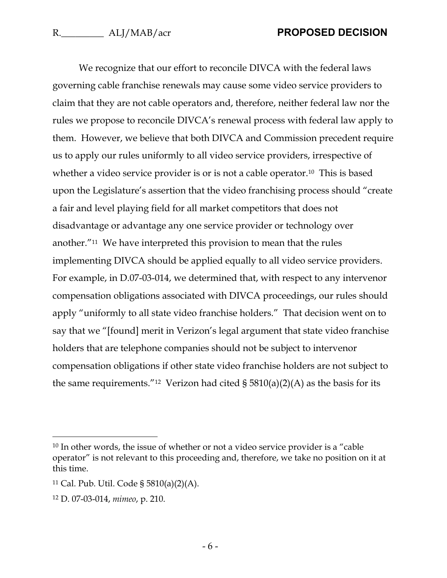We recognize that our effort to reconcile DIVCA with the federal laws governing cable franchise renewals may cause some video service providers to claim that they are not cable operators and, therefore, neither federal law nor the rules we propose to reconcile DIVCA's renewal process with federal law apply to them. However, we believe that both DIVCA and Commission precedent require us to apply our rules uniformly to all video service providers, irrespective of whether a video service provider is or is not a cable operator.<sup>10</sup> This is based upon the Legislature's assertion that the video franchising process should "create a fair and level playing field for all market competitors that does not disadvantage or advantage any one service provider or technology over another."11 We have interpreted this provision to mean that the rules implementing DIVCA should be applied equally to all video service providers. For example, in D.07-03-014, we determined that, with respect to any intervenor compensation obligations associated with DIVCA proceedings, our rules should apply "uniformly to all state video franchise holders." That decision went on to say that we "[found] merit in Verizon's legal argument that state video franchise holders that are telephone companies should not be subject to intervenor compensation obligations if other state video franchise holders are not subject to the same requirements."<sup>12</sup> Verizon had cited  $\S 5810(a)(2)(A)$  as the basis for its

<sup>&</sup>lt;sup>10</sup> In other words, the issue of whether or not a video service provider is a "cable operator" is not relevant to this proceeding and, therefore, we take no position on it at this time.

<sup>11</sup> Cal. Pub. Util. Code § 5810(a)(2)(A).

<sup>12</sup> D. 07-03-014, *mimeo*, p. 210.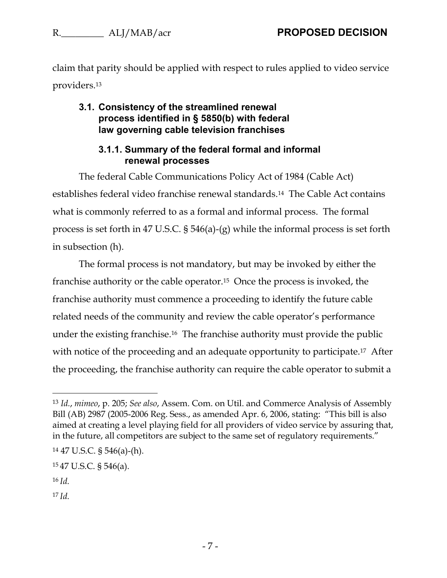claim that parity should be applied with respect to rules applied to video service providers.<sup>13</sup>

#### <span id="page-7-0"></span>**3.1. Consistency of the streamlined renewal process identified in § 5850(b) with federal law governing cable television franchises**

### **3.1.1. Summary of the federal formal and informal renewal processes**

<span id="page-7-1"></span>The federal Cable Communications Policy Act of 1984 (Cable Act) establishes federal video franchise renewal standards.14 The Cable Act contains what is commonly referred to as a formal and informal process. The formal process is set forth in 47 U.S.C. § 546(a)-(g) while the informal process is set forth in subsection (h).

The formal process is not mandatory, but may be invoked by either the franchise authority or the cable operator.15 Once the process is invoked, the franchise authority must commence a proceeding to identify the future cable related needs of the community and review the cable operator's performance under the existing franchise.16 The franchise authority must provide the public with notice of the proceeding and an adequate opportunity to participate.<sup>17</sup> After the proceeding, the franchise authority can require the cable operator to submit a

 $\overline{a}$ 

<sup>17</sup> *Id.*

<sup>13</sup> *Id.*, *mimeo*, p. 205; *See also*, Assem. Com. on Util. and Commerce Analysis of Assembly Bill (AB) 2987 (2005-2006 Reg. Sess., as amended Apr. 6, 2006, stating: "This bill is also aimed at creating a level playing field for all providers of video service by assuring that, in the future, all competitors are subject to the same set of regulatory requirements."

<sup>14</sup> 47 U.S.C. § 546(a)-(h).

<sup>15</sup> 47 U.S.C. § 546(a).

<sup>16</sup> *Id.*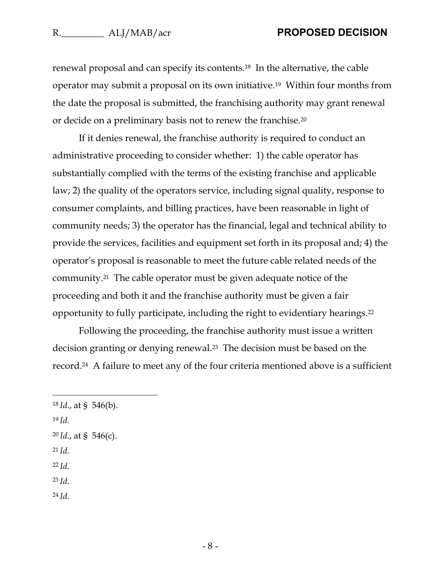renewal proposal and can specify its contents.18 In the alternative, the cable operator may submit a proposal on its own initiative.19 Within four months from the date the proposal is submitted, the franchising authority may grant renewal or decide on a preliminary basis not to renew the franchise.<sup>20</sup>

If it denies renewal, the franchise authority is required to conduct an administrative proceeding to consider whether: 1) the cable operator has substantially complied with the terms of the existing franchise and applicable law; 2) the quality of the operators service, including signal quality, response to consumer complaints, and billing practices, have been reasonable in light of community needs; 3) the operator has the financial, legal and technical ability to provide the services, facilities and equipment set forth in its proposal and; 4) the operator's proposal is reasonable to meet the future cable related needs of the community.21 The cable operator must be given adequate notice of the proceeding and both it and the franchise authority must be given a fair opportunity to fully participate, including the right to evidentiary hearings.<sup>22</sup>

Following the proceeding, the franchise authority must issue a written decision granting or denying renewal.23 The decision must be based on the record.24 A failure to meet any of the four criteria mentioned above is a sufficient

<sup>19</sup> *Id.*

 $\overline{a}$ 

- <sup>20</sup> *Id.*, at § 546(c).
- <sup>21</sup> *Id.*

<sup>22</sup> *Id.*

- <sup>23</sup> *Id.*
- <sup>24</sup> *Id.*

<sup>18</sup> *Id.*, at § 546(b).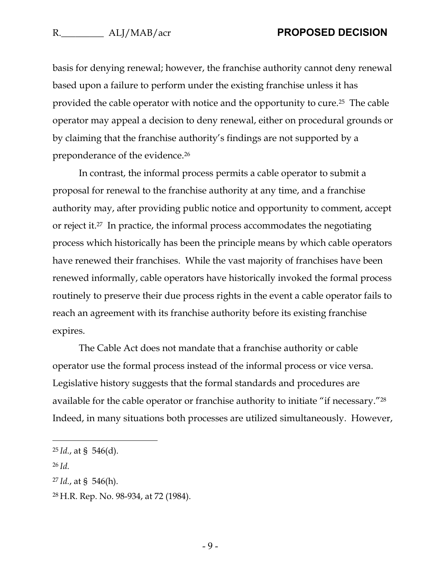basis for denying renewal; however, the franchise authority cannot deny renewal based upon a failure to perform under the existing franchise unless it has provided the cable operator with notice and the opportunity to cure.25 The cable operator may appeal a decision to deny renewal, either on procedural grounds or by claiming that the franchise authority's findings are not supported by a preponderance of the evidence.<sup>26</sup>

In contrast, the informal process permits a cable operator to submit a proposal for renewal to the franchise authority at any time, and a franchise authority may, after providing public notice and opportunity to comment, accept or reject it. <sup>27</sup> In practice, the informal process accommodates the negotiating process which historically has been the principle means by which cable operators have renewed their franchises. While the vast majority of franchises have been renewed informally, cable operators have historically invoked the formal process routinely to preserve their due process rights in the event a cable operator fails to reach an agreement with its franchise authority before its existing franchise expires.

The Cable Act does not mandate that a franchise authority or cable operator use the formal process instead of the informal process or vice versa. Legislative history suggests that the formal standards and procedures are available for the cable operator or franchise authority to initiate "if necessary."<sup>28</sup> Indeed, in many situations both processes are utilized simultaneously. However,

<sup>25</sup> *Id.*, at § 546(d).

<sup>26</sup> *Id.*

<sup>27</sup> *Id.*, at § 546(h).

<sup>28</sup> H.R. Rep. No. 98-934, at 72 (1984).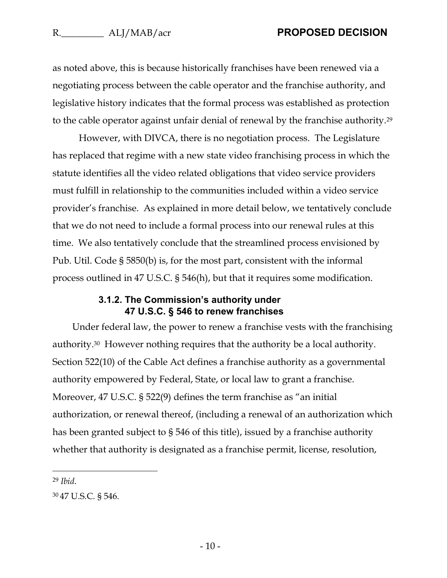as noted above, this is because historically franchises have been renewed via a negotiating process between the cable operator and the franchise authority, and legislative history indicates that the formal process was established as protection to the cable operator against unfair denial of renewal by the franchise authority.<sup>29</sup>

However, with DIVCA, there is no negotiation process. The Legislature has replaced that regime with a new state video franchising process in which the statute identifies all the video related obligations that video service providers must fulfill in relationship to the communities included within a video service provider's franchise. As explained in more detail below, we tentatively conclude that we do not need to include a formal process into our renewal rules at this time. We also tentatively conclude that the streamlined process envisioned by Pub. Util. Code § 5850(b) is, for the most part, consistent with the informal process outlined in 47 U.S.C. § 546(h), but that it requires some modification.

#### **3.1.2. The Commission's authority under 47 U.S.C. § 546 to renew franchises**

<span id="page-10-0"></span>Under federal law, the power to renew a franchise vests with the franchising authority.30 However nothing requires that the authority be a local authority. Section 522(10) of the Cable Act defines a franchise authority as a governmental authority empowered by Federal, State, or local law to grant a franchise. Moreover, 47 U.S.C. § 522(9) defines the term franchise as "an initial authorization, or renewal thereof, (including a renewal of an authorization which has been granted subject to § 546 of this title), issued by a franchise authority whether that authority is designated as a franchise permit, license, resolution,

<sup>29</sup> *Ibid*.

<sup>30</sup> 47 U.S.C. § 546.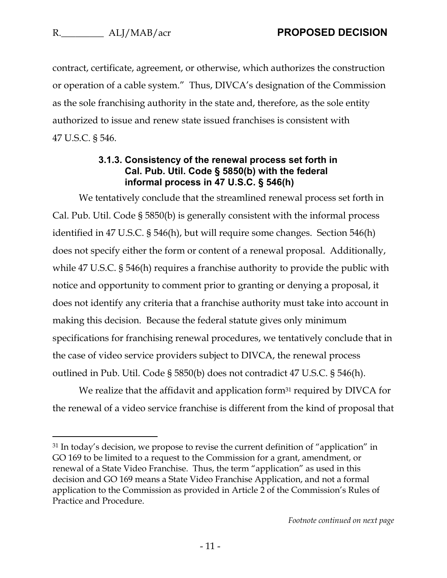$\overline{a}$ 

contract, certificate, agreement, or otherwise, which authorizes the construction or operation of a cable system." Thus, DIVCA's designation of the Commission as the sole franchising authority in the state and, therefore, as the sole entity authorized to issue and renew state issued franchises is consistent with 47 U.S.C. § 546.

#### **3.1.3. Consistency of the renewal process set forth in Cal. Pub. Util. Code § 5850(b) with the federal informal process in 47 U.S.C. § 546(h)**

<span id="page-11-0"></span>We tentatively conclude that the streamlined renewal process set forth in Cal. Pub. Util. Code § 5850(b) is generally consistent with the informal process identified in 47 U.S.C. § 546(h), but will require some changes. Section 546(h) does not specify either the form or content of a renewal proposal. Additionally, while 47 U.S.C. § 546(h) requires a franchise authority to provide the public with notice and opportunity to comment prior to granting or denying a proposal, it does not identify any criteria that a franchise authority must take into account in making this decision. Because the federal statute gives only minimum specifications for franchising renewal procedures, we tentatively conclude that in the case of video service providers subject to DIVCA, the renewal process outlined in Pub. Util. Code § 5850(b) does not contradict 47 U.S.C. § 546(h).

We realize that the affidavit and application form $31$  required by DIVCA for the renewal of a video service franchise is different from the kind of proposal that

<sup>&</sup>lt;sup>31</sup> In today's decision, we propose to revise the current definition of "application" in GO 169 to be limited to a request to the Commission for a grant, amendment, or renewal of a State Video Franchise. Thus, the term "application" as used in this decision and GO 169 means a State Video Franchise Application, and not a formal application to the Commission as provided in Article 2 of the Commission's Rules of Practice and Procedure.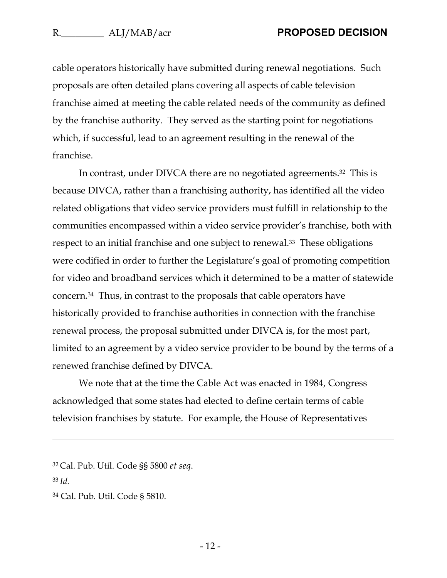cable operators historically have submitted during renewal negotiations. Such proposals are often detailed plans covering all aspects of cable television franchise aimed at meeting the cable related needs of the community as defined by the franchise authority. They served as the starting point for negotiations which, if successful, lead to an agreement resulting in the renewal of the franchise.

In contrast, under DIVCA there are no negotiated agreements.32 This is because DIVCA, rather than a franchising authority, has identified all the video related obligations that video service providers must fulfill in relationship to the communities encompassed within a video service provider's franchise, both with respect to an initial franchise and one subject to renewal.<sup>33</sup> These obligations were codified in order to further the Legislature's goal of promoting competition for video and broadband services which it determined to be a matter of statewide concern.<sup>34</sup> Thus, in contrast to the proposals that cable operators have historically provided to franchise authorities in connection with the franchise renewal process, the proposal submitted under DIVCA is, for the most part, limited to an agreement by a video service provider to be bound by the terms of a renewed franchise defined by DIVCA.

We note that at the time the Cable Act was enacted in 1984, Congress acknowledged that some states had elected to define certain terms of cable television franchises by statute. For example, the House of Representatives

<sup>33</sup> *Id.*

<sup>32</sup> Cal. Pub. Util. Code §§ 5800 *et seq*.

<sup>34</sup> Cal. Pub. Util. Code § 5810.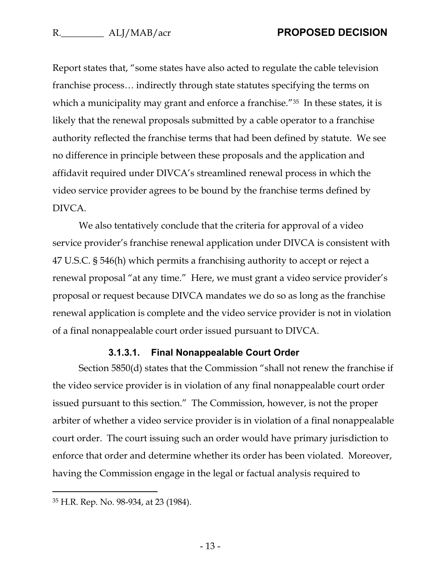Report states that, "some states have also acted to regulate the cable television franchise process… indirectly through state statutes specifying the terms on which a municipality may grant and enforce a franchise."<sup>35</sup> In these states, it is likely that the renewal proposals submitted by a cable operator to a franchise authority reflected the franchise terms that had been defined by statute. We see no difference in principle between these proposals and the application and affidavit required under DIVCA's streamlined renewal process in which the video service provider agrees to be bound by the franchise terms defined by DIVCA.

We also tentatively conclude that the criteria for approval of a video service provider's franchise renewal application under DIVCA is consistent with 47 U.S.C. § 546(h) which permits a franchising authority to accept or reject a renewal proposal "at any time." Here, we must grant a video service provider's proposal or request because DIVCA mandates we do so as long as the franchise renewal application is complete and the video service provider is not in violation of a final nonappealable court order issued pursuant to DIVCA.

#### **3.1.3.1. Final Nonappealable Court Order**

Section 5850(d) states that the Commission "shall not renew the franchise if the video service provider is in violation of any final nonappealable court order issued pursuant to this section." The Commission, however, is not the proper arbiter of whether a video service provider is in violation of a final nonappealable court order. The court issuing such an order would have primary jurisdiction to enforce that order and determine whether its order has been violated. Moreover, having the Commission engage in the legal or factual analysis required to

<sup>35</sup> H.R. Rep. No. 98-934, at 23 (1984).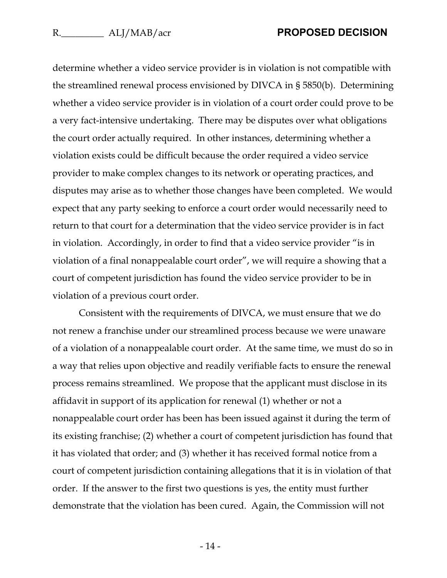determine whether a video service provider is in violation is not compatible with the streamlined renewal process envisioned by DIVCA in § 5850(b). Determining whether a video service provider is in violation of a court order could prove to be a very fact-intensive undertaking. There may be disputes over what obligations the court order actually required. In other instances, determining whether a violation exists could be difficult because the order required a video service provider to make complex changes to its network or operating practices, and disputes may arise as to whether those changes have been completed. We would expect that any party seeking to enforce a court order would necessarily need to return to that court for a determination that the video service provider is in fact in violation. Accordingly, in order to find that a video service provider "is in violation of a final nonappealable court order", we will require a showing that a court of competent jurisdiction has found the video service provider to be in violation of a previous court order.

Consistent with the requirements of DIVCA, we must ensure that we do not renew a franchise under our streamlined process because we were unaware of a violation of a nonappealable court order. At the same time, we must do so in a way that relies upon objective and readily verifiable facts to ensure the renewal process remains streamlined. We propose that the applicant must disclose in its affidavit in support of its application for renewal (1) whether or not a nonappealable court order has been has been issued against it during the term of its existing franchise; (2) whether a court of competent jurisdiction has found that it has violated that order; and (3) whether it has received formal notice from a court of competent jurisdiction containing allegations that it is in violation of that order. If the answer to the first two questions is yes, the entity must further demonstrate that the violation has been cured. Again, the Commission will not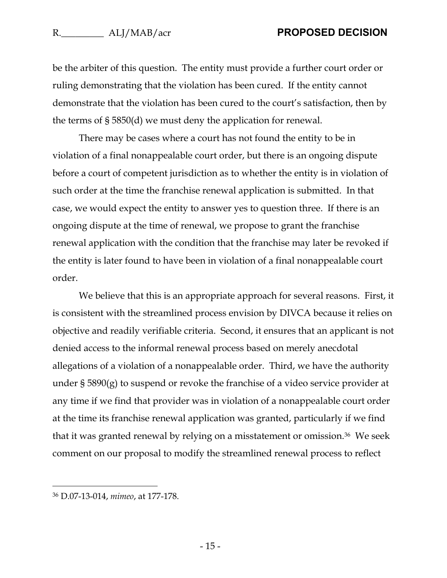#### R. **N.** ALI/MAB/acr **PROPOSED DECISION**

be the arbiter of this question. The entity must provide a further court order or ruling demonstrating that the violation has been cured. If the entity cannot demonstrate that the violation has been cured to the court's satisfaction, then by the terms of § 5850(d) we must deny the application for renewal.

There may be cases where a court has not found the entity to be in violation of a final nonappealable court order, but there is an ongoing dispute before a court of competent jurisdiction as to whether the entity is in violation of such order at the time the franchise renewal application is submitted. In that case, we would expect the entity to answer yes to question three. If there is an ongoing dispute at the time of renewal, we propose to grant the franchise renewal application with the condition that the franchise may later be revoked if the entity is later found to have been in violation of a final nonappealable court order.

We believe that this is an appropriate approach for several reasons. First, it is consistent with the streamlined process envision by DIVCA because it relies on objective and readily verifiable criteria. Second, it ensures that an applicant is not denied access to the informal renewal process based on merely anecdotal allegations of a violation of a nonappealable order. Third, we have the authority under § 5890(g) to suspend or revoke the franchise of a video service provider at any time if we find that provider was in violation of a nonappealable court order at the time its franchise renewal application was granted, particularly if we find that it was granted renewal by relying on a misstatement or omission.36 We seek comment on our proposal to modify the streamlined renewal process to reflect

<sup>36</sup> D.07-13-014, *mimeo*, at 177-178.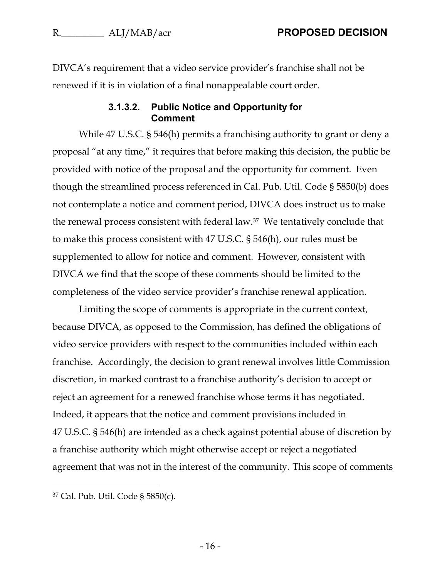DIVCA's requirement that a video service provider's franchise shall not be renewed if it is in violation of a final nonappealable court order.

#### **3.1.3.2. Public Notice and Opportunity for Comment**

While 47 U.S.C. § 546(h) permits a franchising authority to grant or deny a proposal "at any time," it requires that before making this decision, the public be provided with notice of the proposal and the opportunity for comment. Even though the streamlined process referenced in Cal. Pub. Util. Code § 5850(b) does not contemplate a notice and comment period, DIVCA does instruct us to make the renewal process consistent with federal law.37 We tentatively conclude that to make this process consistent with 47 U.S.C. § 546(h), our rules must be supplemented to allow for notice and comment. However, consistent with DIVCA we find that the scope of these comments should be limited to the completeness of the video service provider's franchise renewal application.

Limiting the scope of comments is appropriate in the current context, because DIVCA, as opposed to the Commission, has defined the obligations of video service providers with respect to the communities included within each franchise. Accordingly, the decision to grant renewal involves little Commission discretion, in marked contrast to a franchise authority's decision to accept or reject an agreement for a renewed franchise whose terms it has negotiated. Indeed, it appears that the notice and comment provisions included in 47 U.S.C. § 546(h) are intended as a check against potential abuse of discretion by a franchise authority which might otherwise accept or reject a negotiated agreement that was not in the interest of the community. This scope of comments

<sup>37</sup> Cal. Pub. Util. Code § 5850(c).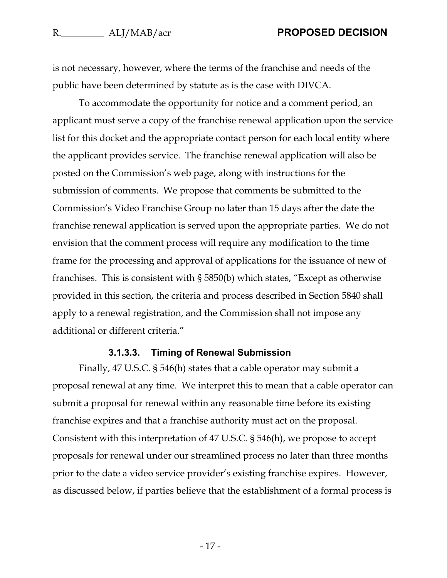is not necessary, however, where the terms of the franchise and needs of the public have been determined by statute as is the case with DIVCA.

To accommodate the opportunity for notice and a comment period, an applicant must serve a copy of the franchise renewal application upon the service list for this docket and the appropriate contact person for each local entity where the applicant provides service. The franchise renewal application will also be posted on the Commission's web page, along with instructions for the submission of comments. We propose that comments be submitted to the Commission's Video Franchise Group no later than 15 days after the date the franchise renewal application is served upon the appropriate parties. We do not envision that the comment process will require any modification to the time frame for the processing and approval of applications for the issuance of new of franchises. This is consistent with § 5850(b) which states, "Except as otherwise provided in this section, the criteria and process described in Section 5840 shall apply to a renewal registration, and the Commission shall not impose any additional or different criteria."

#### **3.1.3.3. Timing of Renewal Submission**

Finally, 47 U.S.C. § 546(h) states that a cable operator may submit a proposal renewal at any time. We interpret this to mean that a cable operator can submit a proposal for renewal within any reasonable time before its existing franchise expires and that a franchise authority must act on the proposal. Consistent with this interpretation of 47 U.S.C. § 546(h), we propose to accept proposals for renewal under our streamlined process no later than three months prior to the date a video service provider's existing franchise expires. However, as discussed below, if parties believe that the establishment of a formal process is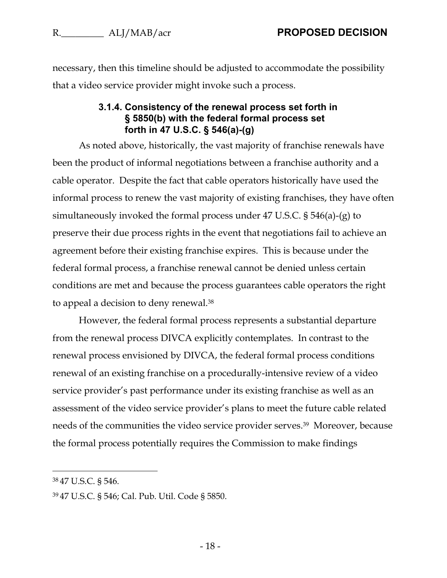<span id="page-18-0"></span>necessary, then this timeline should be adjusted to accommodate the possibility that a video service provider might invoke such a process.

#### **3.1.4. Consistency of the renewal process set forth in § 5850(b) with the federal formal process set forth in 47 U.S.C. § 546(a)-(g)**

As noted above, historically, the vast majority of franchise renewals have been the product of informal negotiations between a franchise authority and a cable operator. Despite the fact that cable operators historically have used the informal process to renew the vast majority of existing franchises, they have often simultaneously invoked the formal process under 47 U.S.C. § 546(a)-(g) to preserve their due process rights in the event that negotiations fail to achieve an agreement before their existing franchise expires. This is because under the federal formal process, a franchise renewal cannot be denied unless certain conditions are met and because the process guarantees cable operators the right to appeal a decision to deny renewal.<sup>38</sup>

However, the federal formal process represents a substantial departure from the renewal process DIVCA explicitly contemplates. In contrast to the renewal process envisioned by DIVCA, the federal formal process conditions renewal of an existing franchise on a procedurally-intensive review of a video service provider's past performance under its existing franchise as well as an assessment of the video service provider's plans to meet the future cable related needs of the communities the video service provider serves. 39 Moreover, because the formal process potentially requires the Commission to make findings

<sup>38</sup> 47 U.S.C. § 546.

<sup>39</sup> 47 U.S.C. § 546; Cal. Pub. Util. Code § 5850.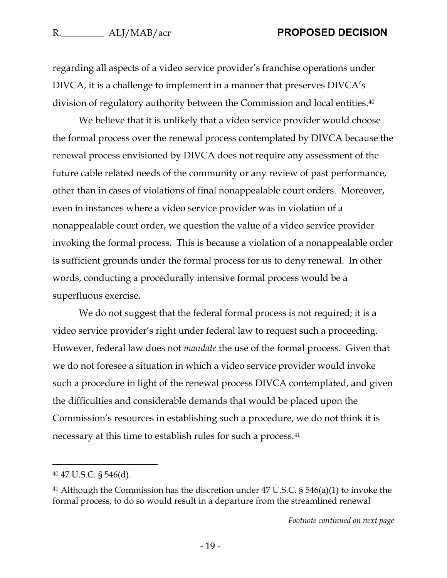regarding all aspects of a video service provider's franchise operations under DIVCA, it is a challenge to implement in a manner that preserves DIVCA's division of regulatory authority between the Commission and local entities.<sup>40</sup>

We believe that it is unlikely that a video service provider would choose the formal process over the renewal process contemplated by DIVCA because the renewal process envisioned by DIVCA does not require any assessment of the future cable related needs of the community or any review of past performance, other than in cases of violations of final nonappealable court orders. Moreover, even in instances where a video service provider was in violation of a nonappealable court order, we question the value of a video service provider invoking the formal process. This is because a violation of a nonappealable order is sufficient grounds under the formal process for us to deny renewal. In other words, conducting a procedurally intensive formal process would be a superfluous exercise.

We do not suggest that the federal formal process is not required; it is a video service provider's right under federal law to request such a proceeding. However, federal law does not *mandate* the use of the formal process. Given that we do not foresee a situation in which a video service provider would invoke such a procedure in light of the renewal process DIVCA contemplated, and given the difficulties and considerable demands that would be placed upon the Commission's resources in establishing such a procedure, we do not think it is necessary at this time to establish rules for such a process.<sup>41</sup>

<sup>40</sup> 47 U.S.C. § 546(d).

<sup>41</sup> Although the Commission has the discretion under 47 U.S.C. § 546(a)(1) to invoke the formal process, to do so would result in a departure from the streamlined renewal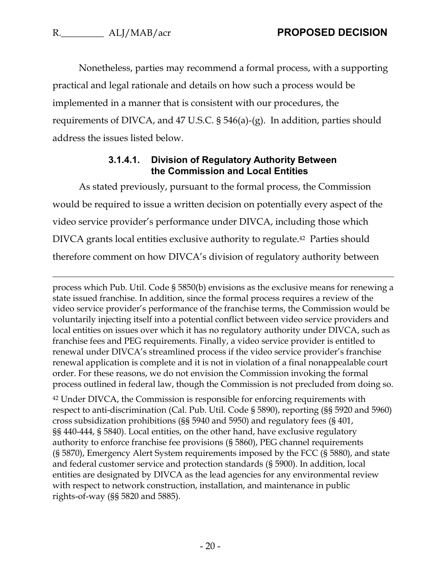Nonetheless, parties may recommend a formal process, with a supporting practical and legal rationale and details on how such a process would be implemented in a manner that is consistent with our procedures, the requirements of DIVCA, and 47 U.S.C. § 546(a)-(g). In addition, parties should address the issues listed below.

#### **3.1.4.1. Division of Regulatory Authority Between the Commission and Local Entities**

As stated previously, pursuant to the formal process, the Commission would be required to issue a written decision on potentially every aspect of the video service provider's performance under DIVCA, including those which DIVCA grants local entities exclusive authority to regulate.42 Parties should therefore comment on how DIVCA's division of regulatory authority between

process which Pub. Util. Code § 5850(b) envisions as the exclusive means for renewing a state issued franchise. In addition, since the formal process requires a review of the video service provider's performance of the franchise terms, the Commission would be voluntarily injecting itself into a potential conflict between video service providers and local entities on issues over which it has no regulatory authority under DIVCA, such as franchise fees and PEG requirements. Finally, a video service provider is entitled to renewal under DIVCA's streamlined process if the video service provider's franchise renewal application is complete and it is not in violation of a final nonappealable court order. For these reasons, we do not envision the Commission invoking the formal process outlined in federal law, though the Commission is not precluded from doing so.

<sup>42</sup> Under DIVCA, the Commission is responsible for enforcing requirements with respect to anti-discrimination (Cal. Pub. Util. Code § 5890), reporting (§§ 5920 and 5960) cross subsidization prohibitions (§§ 5940 and 5950) and regulatory fees (§ 401, §§ 440-444, § 5840). Local entities, on the other hand, have exclusive regulatory authority to enforce franchise fee provisions (§ 5860), PEG channel requirements (§ 5870), Emergency Alert System requirements imposed by the FCC (§ 5880), and state and federal customer service and protection standards (§ 5900). In addition, local entities are designated by DIVCA as the lead agencies for any environmental review with respect to network construction, installation, and maintenance in public rights-of-way (§§ 5820 and 5885).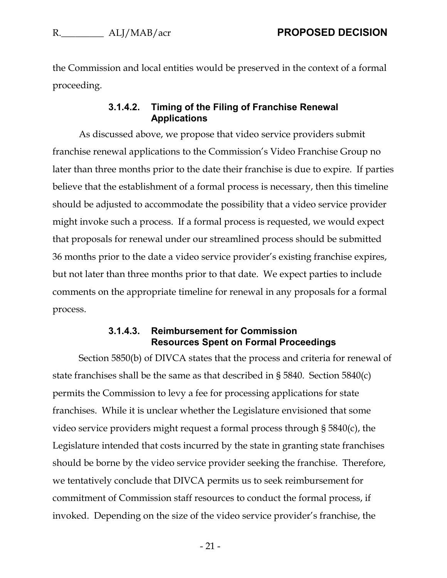the Commission and local entities would be preserved in the context of a formal proceeding.

#### **3.1.4.2. Timing of the Filing of Franchise Renewal Applications**

As discussed above, we propose that video service providers submit franchise renewal applications to the Commission's Video Franchise Group no later than three months prior to the date their franchise is due to expire. If parties believe that the establishment of a formal process is necessary, then this timeline should be adjusted to accommodate the possibility that a video service provider might invoke such a process. If a formal process is requested, we would expect that proposals for renewal under our streamlined process should be submitted 36 months prior to the date a video service provider's existing franchise expires, but not later than three months prior to that date. We expect parties to include comments on the appropriate timeline for renewal in any proposals for a formal process.

#### **3.1.4.3. Reimbursement for Commission Resources Spent on Formal Proceedings**

Section 5850(b) of DIVCA states that the process and criteria for renewal of state franchises shall be the same as that described in § 5840. Section 5840(c) permits the Commission to levy a fee for processing applications for state franchises. While it is unclear whether the Legislature envisioned that some video service providers might request a formal process through § 5840(c), the Legislature intended that costs incurred by the state in granting state franchises should be borne by the video service provider seeking the franchise. Therefore, we tentatively conclude that DIVCA permits us to seek reimbursement for commitment of Commission staff resources to conduct the formal process, if invoked. Depending on the size of the video service provider's franchise, the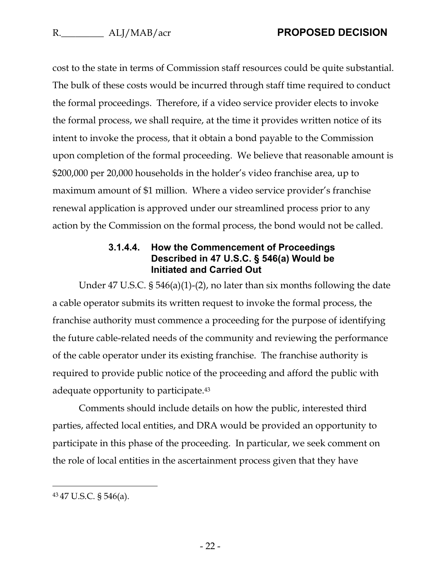cost to the state in terms of Commission staff resources could be quite substantial. The bulk of these costs would be incurred through staff time required to conduct the formal proceedings. Therefore, if a video service provider elects to invoke the formal process, we shall require, at the time it provides written notice of its intent to invoke the process, that it obtain a bond payable to the Commission upon completion of the formal proceeding. We believe that reasonable amount is \$200,000 per 20,000 households in the holder's video franchise area, up to maximum amount of \$1 million. Where a video service provider's franchise renewal application is approved under our streamlined process prior to any action by the Commission on the formal process, the bond would not be called.

#### **3.1.4.4. How the Commencement of Proceedings Described in 47 U.S.C. § 546(a) Would be Initiated and Carried Out**

Under 47 U.S.C. § 546(a)(1)-(2), no later than six months following the date a cable operator submits its written request to invoke the formal process, the franchise authority must commence a proceeding for the purpose of identifying the future cable-related needs of the community and reviewing the performance of the cable operator under its existing franchise. The franchise authority is required to provide public notice of the proceeding and afford the public with adequate opportunity to participate.<sup>43</sup>

Comments should include details on how the public, interested third parties, affected local entities, and DRA would be provided an opportunity to participate in this phase of the proceeding. In particular, we seek comment on the role of local entities in the ascertainment process given that they have

<sup>43</sup> 47 U.S.C. § 546(a).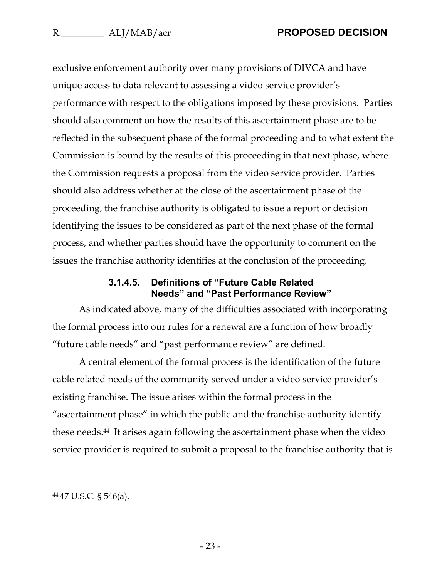exclusive enforcement authority over many provisions of DIVCA and have unique access to data relevant to assessing a video service provider's performance with respect to the obligations imposed by these provisions. Parties should also comment on how the results of this ascertainment phase are to be reflected in the subsequent phase of the formal proceeding and to what extent the Commission is bound by the results of this proceeding in that next phase, where the Commission requests a proposal from the video service provider. Parties should also address whether at the close of the ascertainment phase of the proceeding, the franchise authority is obligated to issue a report or decision identifying the issues to be considered as part of the next phase of the formal process, and whether parties should have the opportunity to comment on the issues the franchise authority identifies at the conclusion of the proceeding.

#### **3.1.4.5. Definitions of "Future Cable Related Needs" and "Past Performance Review"**

As indicated above, many of the difficulties associated with incorporating the formal process into our rules for a renewal are a function of how broadly "future cable needs" and "past performance review" are defined.

A central element of the formal process is the identification of the future cable related needs of the community served under a video service provider's existing franchise. The issue arises within the formal process in the "ascertainment phase" in which the public and the franchise authority identify these needs.44 It arises again following the ascertainment phase when the video service provider is required to submit a proposal to the franchise authority that is

<sup>44</sup> 47 U.S.C. § 546(a).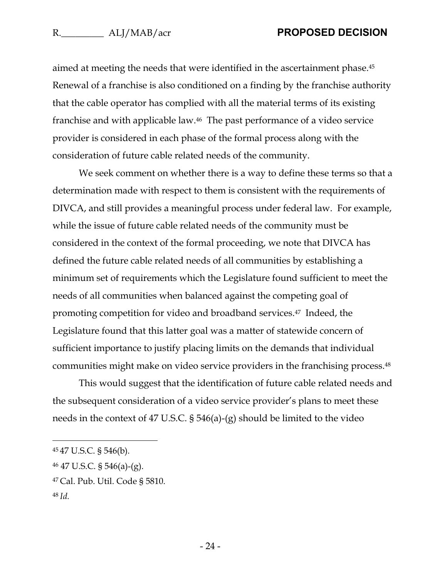aimed at meeting the needs that were identified in the ascertainment phase.<sup>45</sup> Renewal of a franchise is also conditioned on a finding by the franchise authority that the cable operator has complied with all the material terms of its existing franchise and with applicable law.<sup>46</sup> The past performance of a video service provider is considered in each phase of the formal process along with the consideration of future cable related needs of the community.

We seek comment on whether there is a way to define these terms so that a determination made with respect to them is consistent with the requirements of DIVCA, and still provides a meaningful process under federal law. For example, while the issue of future cable related needs of the community must be considered in the context of the formal proceeding, we note that DIVCA has defined the future cable related needs of all communities by establishing a minimum set of requirements which the Legislature found sufficient to meet the needs of all communities when balanced against the competing goal of promoting competition for video and broadband services.47 Indeed, the Legislature found that this latter goal was a matter of statewide concern of sufficient importance to justify placing limits on the demands that individual communities might make on video service providers in the franchising process.<sup>48</sup>

This would suggest that the identification of future cable related needs and the subsequent consideration of a video service provider's plans to meet these needs in the context of 47 U.S.C. § 546(a)-(g) should be limited to the video

<sup>45</sup> 47 U.S.C. § 546(b).

<sup>46</sup> 47 U.S.C. § 546(a)-(g).

<sup>47</sup> Cal. Pub. Util. Code § 5810.

<sup>48</sup> *Id.*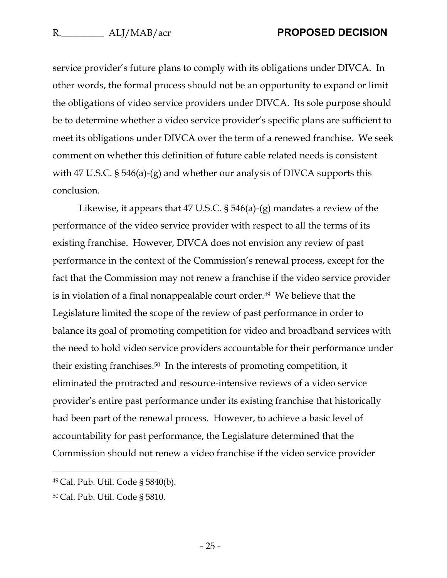service provider's future plans to comply with its obligations under DIVCA. In other words, the formal process should not be an opportunity to expand or limit the obligations of video service providers under DIVCA. Its sole purpose should be to determine whether a video service provider's specific plans are sufficient to meet its obligations under DIVCA over the term of a renewed franchise. We seek comment on whether this definition of future cable related needs is consistent with 47 U.S.C. § 546(a)-(g) and whether our analysis of DIVCA supports this conclusion.

Likewise, it appears that 47 U.S.C. § 546(a)-(g) mandates a review of the performance of the video service provider with respect to all the terms of its existing franchise. However, DIVCA does not envision any review of past performance in the context of the Commission's renewal process, except for the fact that the Commission may not renew a franchise if the video service provider is in violation of a final nonappealable court order.<sup>49</sup> We believe that the Legislature limited the scope of the review of past performance in order to balance its goal of promoting competition for video and broadband services with the need to hold video service providers accountable for their performance under their existing franchises.50 In the interests of promoting competition, it eliminated the protracted and resource-intensive reviews of a video service provider's entire past performance under its existing franchise that historically had been part of the renewal process. However, to achieve a basic level of accountability for past performance, the Legislature determined that the Commission should not renew a video franchise if the video service provider

<sup>49</sup> Cal. Pub. Util. Code § 5840(b).

<sup>50</sup> Cal. Pub. Util. Code § 5810.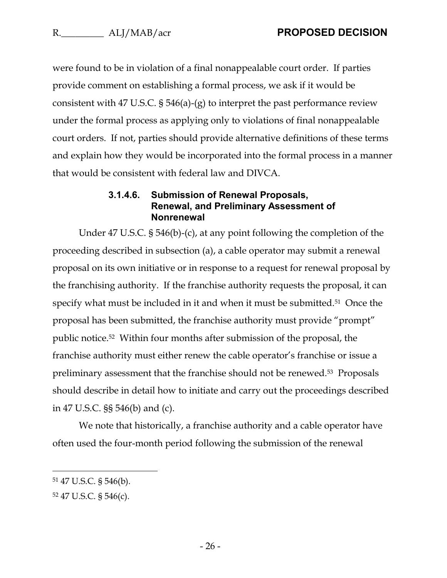were found to be in violation of a final nonappealable court order. If parties provide comment on establishing a formal process, we ask if it would be consistent with 47 U.S.C. § 546(a)-(g) to interpret the past performance review under the formal process as applying only to violations of final nonappealable court orders. If not, parties should provide alternative definitions of these terms and explain how they would be incorporated into the formal process in a manner that would be consistent with federal law and DIVCA.

#### **3.1.4.6. Submission of Renewal Proposals, Renewal, and Preliminary Assessment of Nonrenewal**

Under 47 U.S.C. § 546(b)-(c), at any point following the completion of the proceeding described in subsection (a), a cable operator may submit a renewal proposal on its own initiative or in response to a request for renewal proposal by the franchising authority. If the franchise authority requests the proposal, it can specify what must be included in it and when it must be submitted.<sup>51</sup> Once the proposal has been submitted, the franchise authority must provide "prompt" public notice. <sup>52</sup> Within four months after submission of the proposal, the franchise authority must either renew the cable operator's franchise or issue a preliminary assessment that the franchise should not be renewed.53 Proposals should describe in detail how to initiate and carry out the proceedings described in 47 U.S.C. §§ 546(b) and (c).

We note that historically, a franchise authority and a cable operator have often used the four-month period following the submission of the renewal

<sup>51</sup> 47 U.S.C. § 546(b).

<sup>52</sup> 47 U.S.C. § 546(c).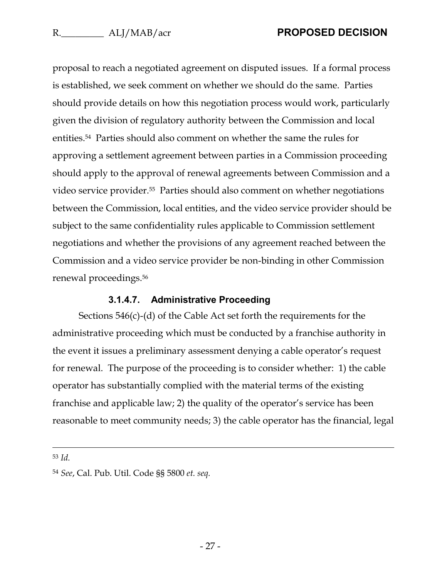proposal to reach a negotiated agreement on disputed issues. If a formal process is established, we seek comment on whether we should do the same. Parties should provide details on how this negotiation process would work, particularly given the division of regulatory authority between the Commission and local entities.54 Parties should also comment on whether the same the rules for approving a settlement agreement between parties in a Commission proceeding should apply to the approval of renewal agreements between Commission and a video service provider.55 Parties should also comment on whether negotiations between the Commission, local entities, and the video service provider should be subject to the same confidentiality rules applicable to Commission settlement negotiations and whether the provisions of any agreement reached between the Commission and a video service provider be non-binding in other Commission renewal proceedings.<sup>56</sup>

#### **3.1.4.7. Administrative Proceeding**

Sections 546(c)-(d) of the Cable Act set forth the requirements for the administrative proceeding which must be conducted by a franchise authority in the event it issues a preliminary assessment denying a cable operator's request for renewal. The purpose of the proceeding is to consider whether: 1) the cable operator has substantially complied with the material terms of the existing franchise and applicable law; 2) the quality of the operator's service has been reasonable to meet community needs; 3) the cable operator has the financial, legal

<sup>53</sup> *Id.*

<sup>54</sup> *See*, Cal. Pub. Util. Code §§ 5800 *et. seq.*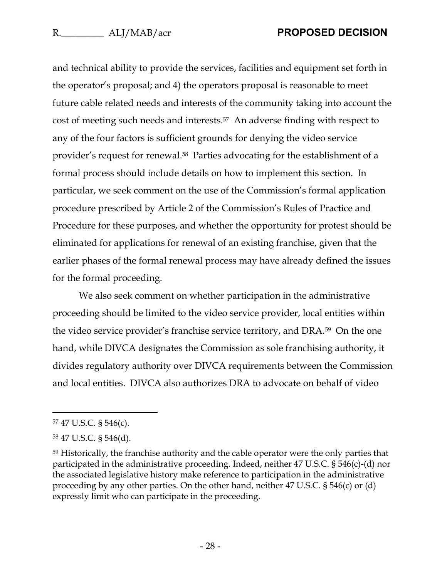and technical ability to provide the services, facilities and equipment set forth in the operator's proposal; and 4) the operators proposal is reasonable to meet future cable related needs and interests of the community taking into account the cost of meeting such needs and interests.57 An adverse finding with respect to any of the four factors is sufficient grounds for denying the video service provider's request for renewal.58 Parties advocating for the establishment of a formal process should include details on how to implement this section. In particular, we seek comment on the use of the Commission's formal application procedure prescribed by Article 2 of the Commission's Rules of Practice and Procedure for these purposes, and whether the opportunity for protest should be eliminated for applications for renewal of an existing franchise, given that the earlier phases of the formal renewal process may have already defined the issues for the formal proceeding.

We also seek comment on whether participation in the administrative proceeding should be limited to the video service provider, local entities within the video service provider's franchise service territory, and DRA.59 On the one hand, while DIVCA designates the Commission as sole franchising authority, it divides regulatory authority over DIVCA requirements between the Commission and local entities. DIVCA also authorizes DRA to advocate on behalf of video

<sup>57</sup> 47 U.S.C. § 546(c).

<sup>58</sup> 47 U.S.C. § 546(d).

<sup>59</sup> Historically, the franchise authority and the cable operator were the only parties that participated in the administrative proceeding. Indeed, neither 47 U.S.C. § 546(c)-(d) nor the associated legislative history make reference to participation in the administrative proceeding by any other parties. On the other hand, neither 47 U.S.C. § 546(c) or (d) expressly limit who can participate in the proceeding.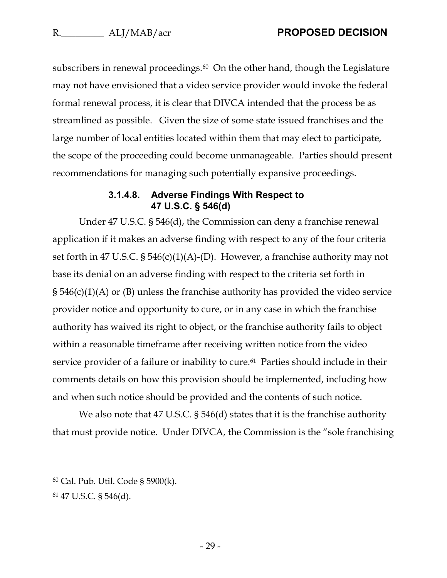subscribers in renewal proceedings.<sup>60</sup> On the other hand, though the Legislature may not have envisioned that a video service provider would invoke the federal formal renewal process, it is clear that DIVCA intended that the process be as streamlined as possible. Given the size of some state issued franchises and the large number of local entities located within them that may elect to participate, the scope of the proceeding could become unmanageable. Parties should present recommendations for managing such potentially expansive proceedings.

#### **3.1.4.8. Adverse Findings With Respect to 47 U.S.C. § 546(d)**

Under 47 U.S.C. § 546(d), the Commission can deny a franchise renewal application if it makes an adverse finding with respect to any of the four criteria set forth in 47 U.S.C. § 546(c)(1)(A)-(D). However, a franchise authority may not base its denial on an adverse finding with respect to the criteria set forth in § 546(c)(1)(A) or (B) unless the franchise authority has provided the video service provider notice and opportunity to cure, or in any case in which the franchise authority has waived its right to object, or the franchise authority fails to object within a reasonable timeframe after receiving written notice from the video service provider of a failure or inability to cure.<sup>61</sup> Parties should include in their comments details on how this provision should be implemented, including how and when such notice should be provided and the contents of such notice.

We also note that 47 U.S.C. § 546(d) states that it is the franchise authority that must provide notice. Under DIVCA, the Commission is the "sole franchising

<sup>60</sup> Cal. Pub. Util. Code § 5900(k).

<sup>61</sup> 47 U.S.C. § 546(d).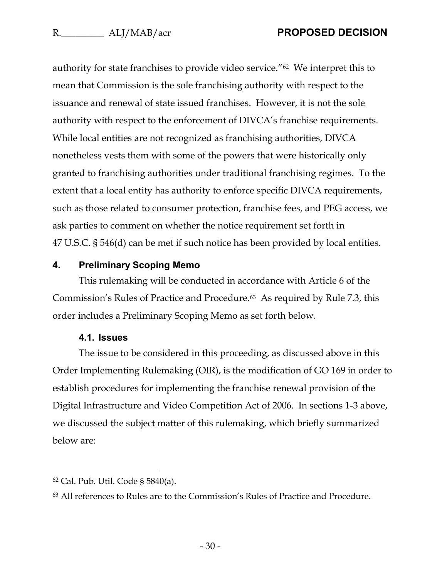authority for state franchises to provide video service."62 We interpret this to mean that Commission is the sole franchising authority with respect to the issuance and renewal of state issued franchises. However, it is not the sole authority with respect to the enforcement of DIVCA's franchise requirements. While local entities are not recognized as franchising authorities, DIVCA nonetheless vests them with some of the powers that were historically only granted to franchising authorities under traditional franchising regimes. To the extent that a local entity has authority to enforce specific DIVCA requirements, such as those related to consumer protection, franchise fees, and PEG access, we ask parties to comment on whether the notice requirement set forth in 47 U.S.C. § 546(d) can be met if such notice has been provided by local entities.

#### <span id="page-30-0"></span>**4. Preliminary Scoping Memo**

This rulemaking will be conducted in accordance with Article 6 of the Commission's Rules of Practice and Procedure.63 As required by Rule 7.3, this order includes a Preliminary Scoping Memo as set forth below.

#### **4.1. Issues**

<span id="page-30-1"></span>The issue to be considered in this proceeding, as discussed above in this Order Implementing Rulemaking (OIR), is the modification of GO 169 in order to establish procedures for implementing the franchise renewal provision of the Digital Infrastructure and Video Competition Act of 2006. In sections 1-3 above, we discussed the subject matter of this rulemaking, which briefly summarized below are:

<sup>62</sup> Cal. Pub. Util. Code § 5840(a).

<sup>63</sup> All references to Rules are to the Commission's Rules of Practice and Procedure.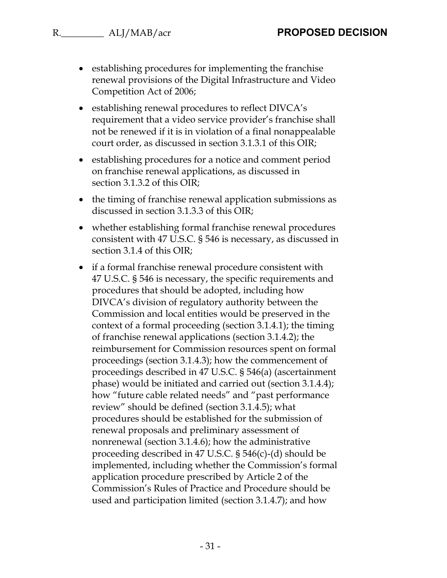- establishing procedures for implementing the franchise renewal provisions of the Digital Infrastructure and Video Competition Act of 2006;
- establishing renewal procedures to reflect DIVCA's requirement that a video service provider's franchise shall not be renewed if it is in violation of a final nonappealable court order, as discussed in section 3.1.3.1 of this OIR;
- establishing procedures for a notice and comment period on franchise renewal applications, as discussed in section 3.1.3.2 of this OIR;
- the timing of franchise renewal application submissions as discussed in section 3.1.3.3 of this OIR;
- whether establishing formal franchise renewal procedures consistent with 47 U.S.C. § 546 is necessary, as discussed in section 3.1.4 of this OIR;
- if a formal franchise renewal procedure consistent with 47 U.S.C. § 546 is necessary, the specific requirements and procedures that should be adopted, including how DIVCA's division of regulatory authority between the Commission and local entities would be preserved in the context of a formal proceeding (section 3.1.4.1); the timing of franchise renewal applications (section 3.1.4.2); the reimbursement for Commission resources spent on formal proceedings (section 3.1.4.3); how the commencement of proceedings described in 47 U.S.C. § 546(a) (ascertainment phase) would be initiated and carried out (section 3.1.4.4); how "future cable related needs" and "past performance review" should be defined (section 3.1.4.5); what procedures should be established for the submission of renewal proposals and preliminary assessment of nonrenewal (section 3.1.4.6); how the administrative proceeding described in 47 U.S.C. § 546(c)-(d) should be implemented, including whether the Commission's formal application procedure prescribed by Article 2 of the Commission's Rules of Practice and Procedure should be used and participation limited (section 3.1.4.7); and how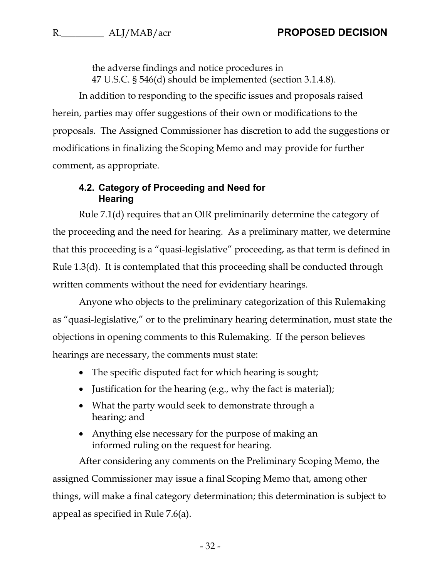the adverse findings and notice procedures in 47 U.S.C. § 546(d) should be implemented (section 3.1.4.8).

In addition to responding to the specific issues and proposals raised herein, parties may offer suggestions of their own or modifications to the proposals. The Assigned Commissioner has discretion to add the suggestions or modifications in finalizing the Scoping Memo and may provide for further comment, as appropriate.

#### <span id="page-32-0"></span>**4.2. Category of Proceeding and Need for Hearing**

Rule 7.1(d) requires that an OIR preliminarily determine the category of the proceeding and the need for hearing. As a preliminary matter, we determine that this proceeding is a "quasi-legislative" proceeding, as that term is defined in Rule 1.3(d). It is contemplated that this proceeding shall be conducted through written comments without the need for evidentiary hearings.

Anyone who objects to the preliminary categorization of this Rulemaking as "quasi-legislative," or to the preliminary hearing determination, must state the objections in opening comments to this Rulemaking. If the person believes hearings are necessary, the comments must state:

- The specific disputed fact for which hearing is sought;
- Justification for the hearing (e.g., why the fact is material);
- What the party would seek to demonstrate through a hearing; and
- Anything else necessary for the purpose of making an informed ruling on the request for hearing.

After considering any comments on the Preliminary Scoping Memo, the assigned Commissioner may issue a final Scoping Memo that, among other things, will make a final category determination; this determination is subject to appeal as specified in Rule 7.6(a).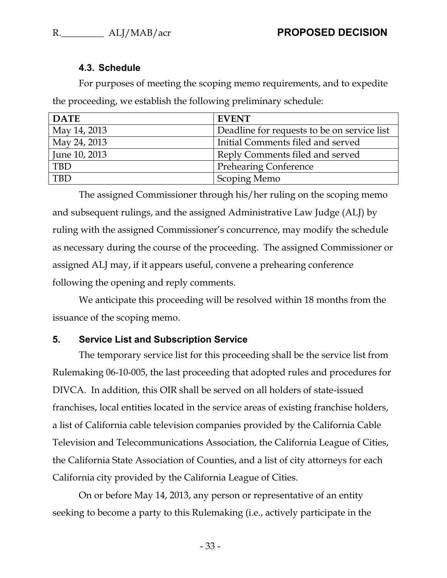### **4.3. Schedule**

<span id="page-33-0"></span>For purposes of meeting the scoping memo requirements, and to expedite the proceeding, we establish the following preliminary schedule:

| <b>DATE</b>   | <b>EVENT</b>                                |
|---------------|---------------------------------------------|
| May 14, 2013  | Deadline for requests to be on service list |
| May 24, 2013  | Initial Comments filed and served           |
| June 10, 2013 | Reply Comments filed and served             |
| <b>TBD</b>    | <b>Prehearing Conference</b>                |
| TBD           | Scoping Memo                                |

The assigned Commissioner through his/her ruling on the scoping memo and subsequent rulings, and the assigned Administrative Law Judge (ALJ) by ruling with the assigned Commissioner's concurrence, may modify the schedule as necessary during the course of the proceeding. The assigned Commissioner or assigned ALJ may, if it appears useful, convene a prehearing conference following the opening and reply comments.

We anticipate this proceeding will be resolved within 18 months from the issuance of the scoping memo.

### <span id="page-33-1"></span>**5. Service List and Subscription Service**

The temporary service list for this proceeding shall be the service list from Rulemaking 06-10-005, the last proceeding that adopted rules and procedures for DIVCA. In addition, this OIR shall be served on all holders of state-issued franchises, local entities located in the service areas of existing franchise holders, a list of California cable television companies provided by the California Cable Television and Telecommunications Association, the California League of Cities, the California State Association of Counties, and a list of city attorneys for each California city provided by the California League of Cities.

On or before May 14, 2013, any person or representative of an entity seeking to become a party to this Rulemaking (i.e., actively participate in the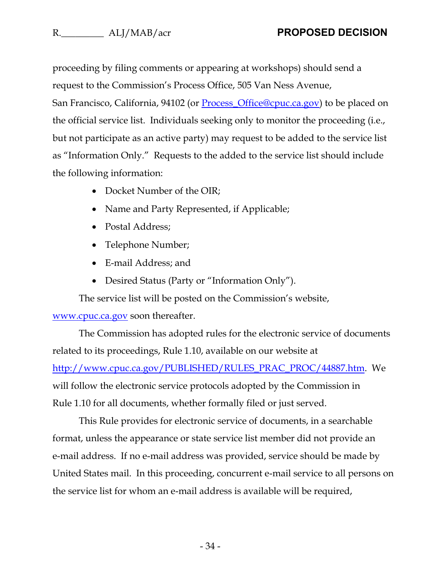proceeding by filing comments or appearing at workshops) should send a request to the Commission's Process Office, 505 Van Ness Avenue, San Francisco, California, 94102 (or <u>Process Office@cpuc.ca.gov</u>) to be placed on the official service list. Individuals seeking only to monitor the proceeding (i.e., but not participate as an active party) may request to be added to the service list as "Information Only." Requests to the added to the service list should include the following information:

- Docket Number of the OIR;
- Name and Party Represented, if Applicable;
- Postal Address;
- Telephone Number;
- E-mail Address; and
- Desired Status (Party or "Information Only").

The service list will be posted on the Commission's website,

### www.cpuc.ca.gov soon thereafter.

The Commission has adopted rules for the electronic service of documents related to its proceedings, Rule 1.10, available on our website at http://www.cpuc.ca.gov/PUBLISHED/RULES\_PRAC\_PROC/44887.htm. We will follow the electronic service protocols adopted by the Commission in Rule 1.10 for all documents, whether formally filed or just served.

This Rule provides for electronic service of documents, in a searchable format, unless the appearance or state service list member did not provide an e-mail address. If no e-mail address was provided, service should be made by United States mail. In this proceeding, concurrent e-mail service to all persons on the service list for whom an e-mail address is available will be required,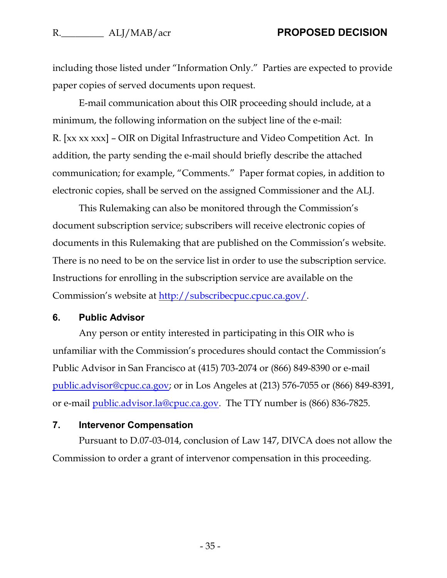including those listed under "Information Only." Parties are expected to provide paper copies of served documents upon request.

E-mail communication about this OIR proceeding should include, at a minimum, the following information on the subject line of the e-mail: R. [xx xx xxx] – OIR on Digital Infrastructure and Video Competition Act. In addition, the party sending the e-mail should briefly describe the attached communication; for example, "Comments." Paper format copies, in addition to electronic copies, shall be served on the assigned Commissioner and the ALJ.

This Rulemaking can also be monitored through the Commission's document subscription service; subscribers will receive electronic copies of documents in this Rulemaking that are published on the Commission's website. There is no need to be on the service list in order to use the subscription service. Instructions for enrolling in the subscription service are available on the Commission's website at <u>http://subscribecpuc.cpuc.ca.gov/</u>.

#### <span id="page-35-0"></span>**6. Public Advisor**

Any person or entity interested in participating in this OIR who is unfamiliar with the Commission's procedures should contact the Commission's Public Advisor in San Francisco at (415) 703-2074 or (866) 849-8390 or e-mail [public.advisor@cpuc.ca.gov;](mailto:public.advisor@cpuc.ca.gov) or in Los Angeles at (213) 576-7055 or (866) 849-8391, or e-mail [public.advisor.la@cpuc.ca.gov.](mailto:public.advisor.la@cpuc.ca.gov) The TTY number is (866) 836-7825.

#### <span id="page-35-1"></span>**7. Intervenor Compensation**

Pursuant to D.07-03-014, conclusion of Law 147, DIVCA does not allow the Commission to order a grant of intervenor compensation in this proceeding.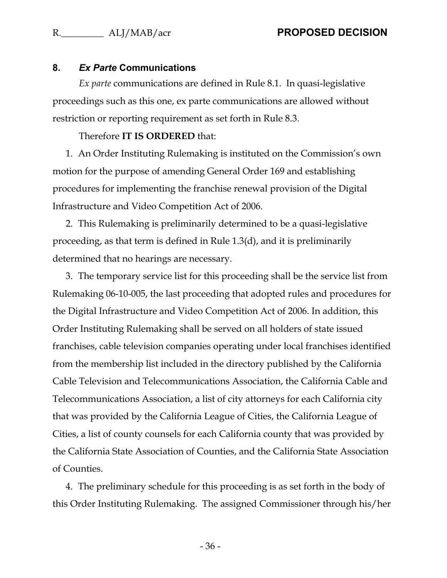#### <span id="page-36-0"></span>**8.** *Ex Parte* **Communications**

*Ex parte* communications are defined in Rule 8.1. In quasi-legislative proceedings such as this one, ex parte communications are allowed without restriction or reporting requirement as set forth in Rule 8.3.

#### Therefore **IT IS ORDERED** that:

1. An Order Instituting Rulemaking is instituted on the Commission's own motion for the purpose of amending General Order 169 and establishing procedures for implementing the franchise renewal provision of the Digital Infrastructure and Video Competition Act of 2006.

2. This Rulemaking is preliminarily determined to be a quasi-legislative proceeding, as that term is defined in Rule 1.3(d), and it is preliminarily determined that no hearings are necessary.

3. The temporary service list for this proceeding shall be the service list from Rulemaking 06-10-005, the last proceeding that adopted rules and procedures for the Digital Infrastructure and Video Competition Act of 2006. In addition, this Order Instituting Rulemaking shall be served on all holders of state issued franchises, cable television companies operating under local franchises identified from the membership list included in the directory published by the California Cable Television and Telecommunications Association, the California Cable and Telecommunications Association, a list of city attorneys for each California city that was provided by the California League of Cities, the California League of Cities, a list of county counsels for each California county that was provided by the California State Association of Counties, and the California State Association of Counties.

4. The preliminary schedule for this proceeding is as set forth in the body of this Order Instituting Rulemaking. The assigned Commissioner through his/her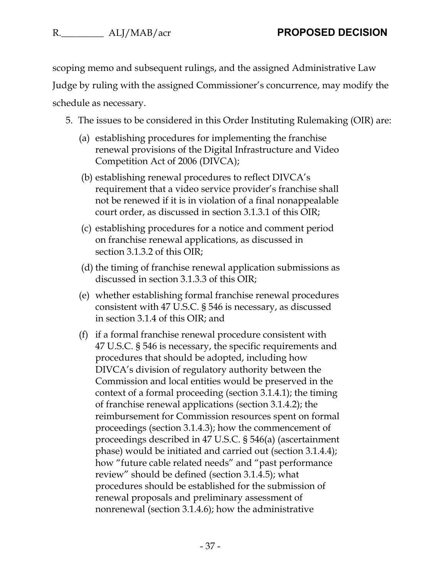scoping memo and subsequent rulings, and the assigned Administrative Law

Judge by ruling with the assigned Commissioner's concurrence, may modify the schedule as necessary.

- 5. The issues to be considered in this Order Instituting Rulemaking (OIR) are:
	- (a) establishing procedures for implementing the franchise renewal provisions of the Digital Infrastructure and Video Competition Act of 2006 (DIVCA);
	- (b) establishing renewal procedures to reflect DIVCA's requirement that a video service provider's franchise shall not be renewed if it is in violation of a final nonappealable court order, as discussed in section 3.1.3.1 of this OIR;
	- (c) establishing procedures for a notice and comment period on franchise renewal applications, as discussed in section 3.1.3.2 of this OIR;
	- (d) the timing of franchise renewal application submissions as discussed in section 3.1.3.3 of this OIR;
	- (e) whether establishing formal franchise renewal procedures consistent with 47 U.S.C. § 546 is necessary, as discussed in section 3.1.4 of this OIR; and
	- (f) if a formal franchise renewal procedure consistent with 47 U.S.C. § 546 is necessary, the specific requirements and procedures that should be adopted, including how DIVCA's division of regulatory authority between the Commission and local entities would be preserved in the context of a formal proceeding (section 3.1.4.1); the timing of franchise renewal applications (section 3.1.4.2); the reimbursement for Commission resources spent on formal proceedings (section 3.1.4.3); how the commencement of proceedings described in 47 U.S.C. § 546(a) (ascertainment phase) would be initiated and carried out (section 3.1.4.4); how "future cable related needs" and "past performance review" should be defined (section 3.1.4.5); what procedures should be established for the submission of renewal proposals and preliminary assessment of nonrenewal (section 3.1.4.6); how the administrative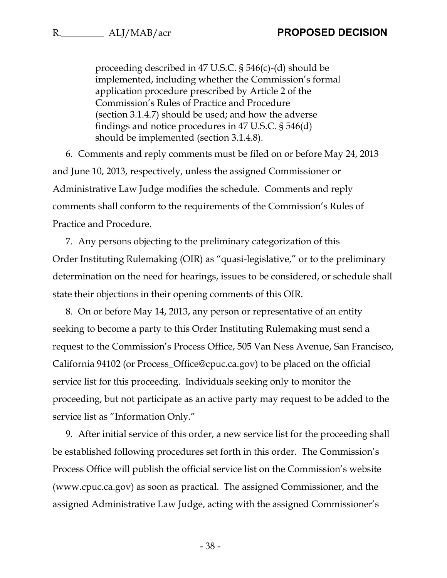proceeding described in 47 U.S.C. § 546(c)-(d) should be implemented, including whether the Commission's formal application procedure prescribed by Article 2 of the Commission's Rules of Practice and Procedure (section 3.1.4.7) should be used; and how the adverse findings and notice procedures in 47 U.S.C. § 546(d) should be implemented (section 3.1.4.8).

6. Comments and reply comments must be filed on or before May 24, 2013 and June 10, 2013, respectively, unless the assigned Commissioner or Administrative Law Judge modifies the schedule. Comments and reply comments shall conform to the requirements of the Commission's Rules of Practice and Procedure.

7. Any persons objecting to the preliminary categorization of this Order Instituting Rulemaking (OIR) as "quasi-legislative," or to the preliminary determination on the need for hearings, issues to be considered, or schedule shall state their objections in their opening comments of this OIR.

8. On or before May 14, 2013, any person or representative of an entity seeking to become a party to this Order Instituting Rulemaking must send a request to the Commission's Process Office, 505 Van Ness Avenue, San Francisco, California 94102 (or Process\_Office@cpuc.ca.gov) to be placed on the official service list for this proceeding. Individuals seeking only to monitor the proceeding, but not participate as an active party may request to be added to the service list as "Information Only."

9. After initial service of this order, a new service list for the proceeding shall be established following procedures set forth in this order. The Commission's Process Office will publish the official service list on the Commission's website (www.cpuc.ca.gov) as soon as practical. The assigned Commissioner, and the assigned Administrative Law Judge, acting with the assigned Commissioner's

- 38 -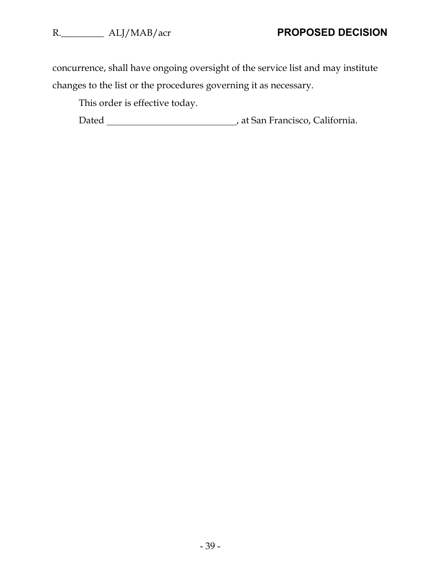concurrence, shall have ongoing oversight of the service list and may institute changes to the list or the procedures governing it as necessary.

This order is effective today.

Dated **Dated** , at San Francisco, California.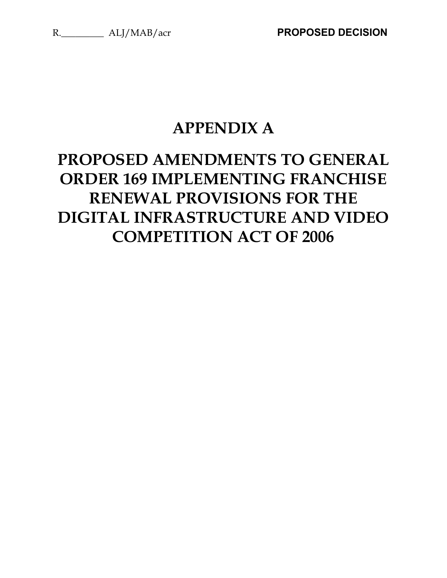# **APPENDIX A**

# **PROPOSED AMENDMENTS TO GENERAL ORDER 169 IMPLEMENTING FRANCHISE RENEWAL PROVISIONS FOR THE DIGITAL INFRASTRUCTURE AND VIDEO COMPETITION ACT OF 2006**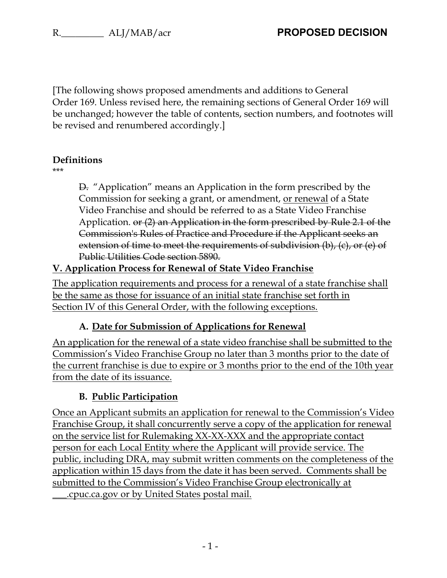[The following shows proposed amendments and additions to General Order 169. Unless revised here, the remaining sections of General Order 169 will be unchanged; however the table of contents, section numbers, and footnotes will be revised and renumbered accordingly.]

### **Definitions**

\*\*\*

D. "Application" means an Application in the form prescribed by the Commission for seeking a grant, or amendment, or renewal of a State Video Franchise and should be referred to as a State Video Franchise Application. or (2) an Application in the form prescribed by Rule 2.1 of the Commission's Rules of Practice and Procedure if the Applicant seeks an extension of time to meet the requirements of subdivision (b), (c), or (e) of Public Utilities Code section 5890.

# **V. Application Process for Renewal of State Video Franchise**

The application requirements and process for a renewal of a state franchise shall be the same as those for issuance of an initial state franchise set forth in Section IV of this General Order, with the following exceptions.

# **A. Date for Submission of Applications for Renewal**

An application for the renewal of a state video franchise shall be submitted to the Commission's Video Franchise Group no later than 3 months prior to the date of the current franchise is due to expire or 3 months prior to the end of the 10th year from the date of its issuance.

# **B. Public Participation**

Once an Applicant submits an application for renewal to the Commission's Video Franchise Group, it shall concurrently serve a copy of the application for renewal on the service list for Rulemaking XX-XX-XXX and the appropriate contact person for each Local Entity where the Applicant will provide service. The public, including DRA, may submit written comments on the completeness of the application within 15 days from the date it has been served. Comments shall be submitted to the Commission's Video Franchise Group electronically at \_\_\_.cpuc.ca.gov or by United States postal mail.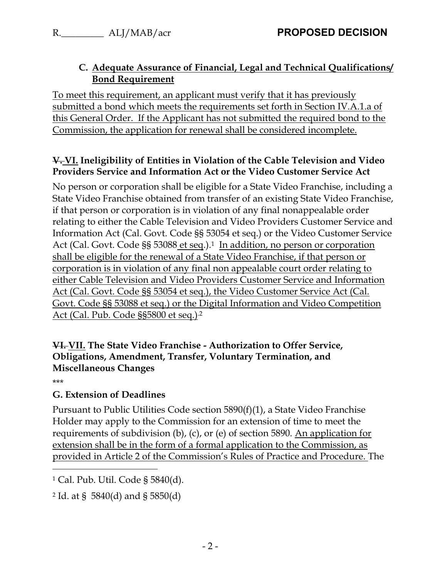### **C. Adequate Assurance of Financial, Legal and Technical Qualifications/ Bond Requirement**

To meet this requirement, an applicant must verify that it has previously submitted a bond which meets the requirements set forth in Section IV.A.1.a of this General Order. If the Applicant has not submitted the required bond to the Commission, the application for renewal shall be considered incomplete.

#### **V. VI. Ineligibility of Entities in Violation of the Cable Television and Video Providers Service and Information Act or the Video Customer Service Act**

No person or corporation shall be eligible for a State Video Franchise, including a State Video Franchise obtained from transfer of an existing State Video Franchise, if that person or corporation is in violation of any final nonappealable order relating to either the Cable Television and Video Providers Customer Service and Information Act (Cal. Govt. Code §§ 53054 et seq.) or the Video Customer Service Act (Cal. Govt. Code §§ 53088 et seq.).<sup>1</sup> In addition, no person or corporation shall be eligible for the renewal of a State Video Franchise, if that person or corporation is in violation of any final non appealable court order relating to either Cable Television and Video Providers Customer Service and Information Act (Cal. Govt. Code §§ 53054 et seq.), the Video Customer Service Act (Cal. Govt. Code §§ 53088 et seq.) or the Digital Information and Video Competition Act (Cal. Pub. Code §§5800 et seq.).2

### **VI. VII. The State Video Franchise - Authorization to Offer Service, Obligations, Amendment, Transfer, Voluntary Termination, and Miscellaneous Changes**

\*\*\*

 $\overline{a}$ 

# **G. Extension of Deadlines**

Pursuant to Public Utilities Code section 5890(f)(1), a State Video Franchise Holder may apply to the Commission for an extension of time to meet the requirements of subdivision (b), (c), or (e) of section 5890. An application for extension shall be in the form of a formal application to the Commission, as provided in Article 2 of the Commission's Rules of Practice and Procedure. The

<sup>1</sup> Cal. Pub. Util. Code § 5840(d).

<sup>2</sup> Id. at § 5840(d) and § 5850(d)